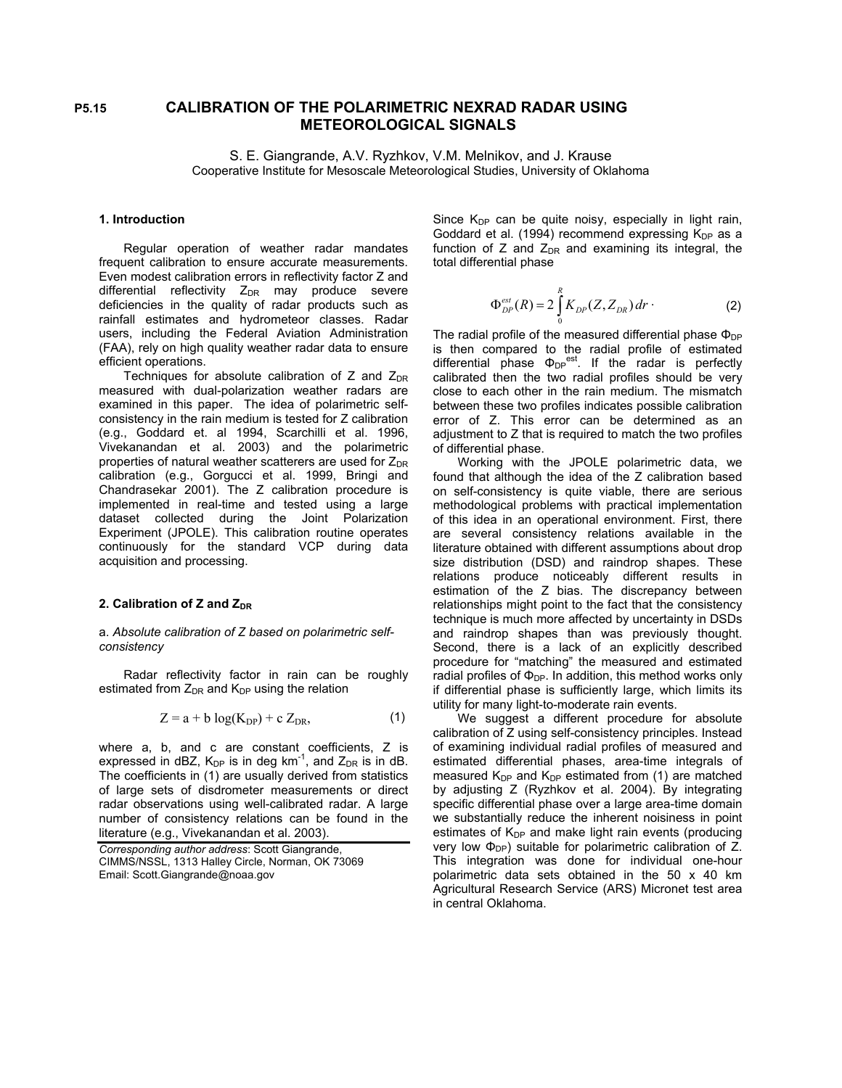# **P5.15 CALIBRATION OF THE POLARIMETRIC NEXRAD RADAR USING METEOROLOGICAL SIGNALS**

S. E. Giangrande, A.V. Ryzhkov, V.M. Melnikov, and J. Krause Cooperative Institute for Mesoscale Meteorological Studies, University of Oklahoma

## **1. Introduction**

Regular operation of weather radar mandates frequent calibration to ensure accurate measurements. Even modest calibration errors in reflectivity factor Z and differential reflectivity  $Z_{DR}$  may produce severe deficiencies in the quality of radar products such as rainfall estimates and hydrometeor classes. Radar users, including the Federal Aviation Administration (FAA), rely on high quality weather radar data to ensure efficient operations.

Techniques for absolute calibration of  $Z$  and  $Z_{\text{DR}}$ measured with dual-polarization weather radars are examined in this paper. The idea of polarimetric selfconsistency in the rain medium is tested for Z calibration (e.g., Goddard et. al 1994, Scarchilli et al. 1996, Vivekanandan et al. 2003) and the polarimetric properties of natural weather scatterers are used for  $Z_{\text{DR}}$ calibration (e.g., Gorgucci et al. 1999, Bringi and Chandrasekar 2001). The Z calibration procedure is implemented in real-time and tested using a large dataset collected during the Joint Polarization Experiment (JPOLE). This calibration routine operates continuously for the standard VCP during data acquisition and processing.

# 2. Calibration of Z and Z<sub>DR</sub>

## a. *Absolute calibration of Z based on polarimetric selfconsistency*

Radar reflectivity factor in rain can be roughly estimated from  $Z_{DR}$  and  $K_{DP}$  using the relation

$$
Z = a + b \log(K_{DP}) + c Z_{DR}, \qquad (1)
$$

where a, b, and c are constant coefficients, Z is expressed in dBZ,  $K_{DP}$  is in deg km<sup>-1</sup>, and  $Z_{DR}$  is in dB. The coefficients in (1) are usually derived from statistics of large sets of disdrometer measurements or direct radar observations using well-calibrated radar. A large number of consistency relations can be found in the literature (e.g., Vivekanandan et al. 2003).

*Corresponding author address*: Scott Giangrande, CIMMS/NSSL, 1313 Halley Circle, Norman, OK 73069 Email: Scott.Giangrande@noaa.gov

Since  $K_{DP}$  can be quite noisy, especially in light rain, Goddard et al. (1994) recommend expressing  $K_{DP}$  as a function of Z and  $Z_{DR}$  and examining its integral, the total differential phase

$$
\Phi_{DP}^{est}(R) = 2 \int_{0}^{R} K_{DP}(Z, Z_{DR}) dr \qquad (2)
$$

The radial profile of the measured differential phase  $\Phi_{DP}$ is then compared to the radial profile of estimated differential phase  $\Phi_{DP}^{est}$ . If the radar is perfectly calibrated then the two radial profiles should be very close to each other in the rain medium. The mismatch between these two profiles indicates possible calibration error of Z. This error can be determined as an adjustment to Z that is required to match the two profiles of differential phase.

Working with the JPOLE polarimetric data, we found that although the idea of the Z calibration based on self-consistency is quite viable, there are serious methodological problems with practical implementation of this idea in an operational environment. First, there are several consistency relations available in the literature obtained with different assumptions about drop size distribution (DSD) and raindrop shapes. These relations produce noticeably different results in estimation of the Z bias. The discrepancy between relationships might point to the fact that the consistency technique is much more affected by uncertainty in DSDs and raindrop shapes than was previously thought. Second, there is a lack of an explicitly described procedure for "matching" the measured and estimated radial profiles of  $\Phi_{DP}$ . In addition, this method works only if differential phase is sufficiently large, which limits its utility for many light-to-moderate rain events.

We suggest a different procedure for absolute calibration of Z using self-consistency principles. Instead of examining individual radial profiles of measured and estimated differential phases, area-time integrals of measured  $K_{DP}$  and  $K_{DP}$  estimated from (1) are matched by adjusting Z (Ryzhkov et al. 2004). By integrating specific differential phase over a large area-time domain we substantially reduce the inherent noisiness in point estimates of  $K_{DP}$  and make light rain events (producing very low  $\Phi_{DP}$ ) suitable for polarimetric calibration of Z. This integration was done for individual one-hour polarimetric data sets obtained in the 50 x 40 km Agricultural Research Service (ARS) Micronet test area in central Oklahoma.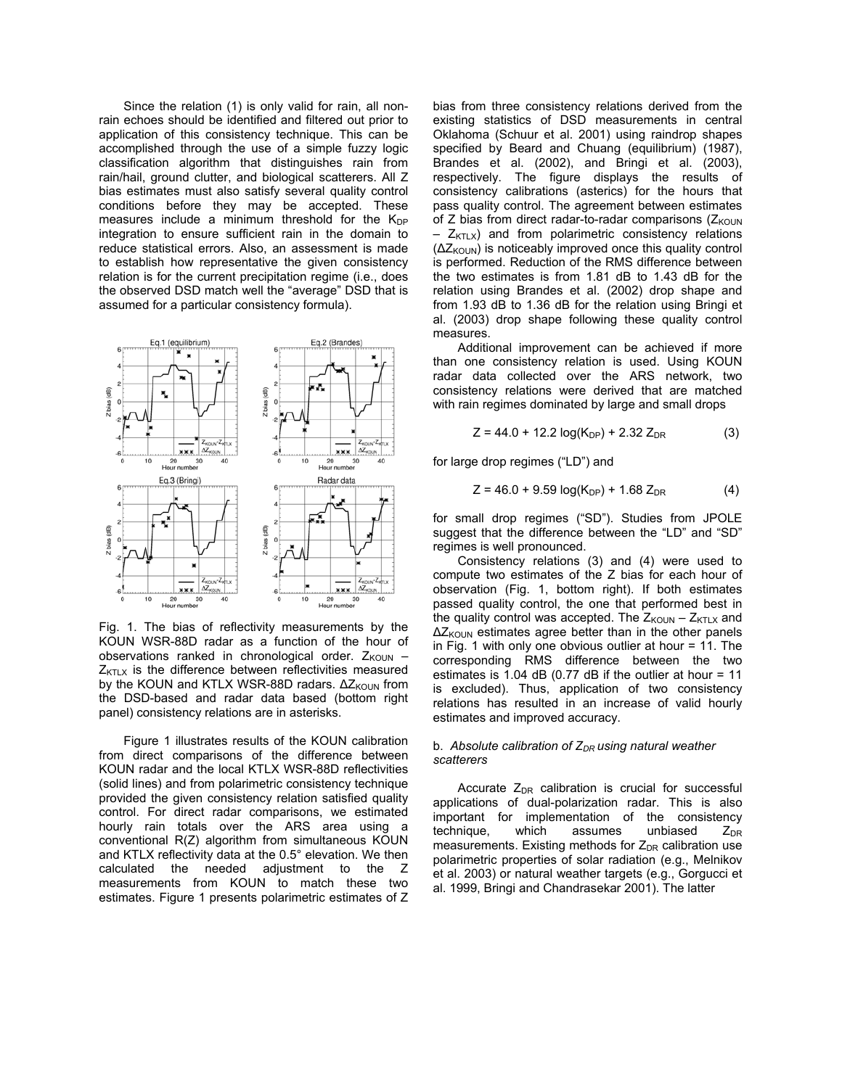Since the relation (1) is only valid for rain, all nonrain echoes should be identified and filtered out prior to application of this consistency technique. This can be accomplished through the use of a simple fuzzy logic classification algorithm that distinguishes rain from rain/hail, ground clutter, and biological scatterers. All Z bias estimates must also satisfy several quality control conditions before they may be accepted. These measures include a minimum threshold for the  $K_{DP}$ integration to ensure sufficient rain in the domain to reduce statistical errors. Also, an assessment is made to establish how representative the given consistency relation is for the current precipitation regime (i.e., does the observed DSD match well the "average" DSD that is assumed for a particular consistency formula).



Fig. 1. The bias of reflectivity measurements by the KOUN WSR-88D radar as a function of the hour of observations ranked in chronological order.  $Z_{KOUN}$  –  $Z_{\text{KTLX}}$  is the difference between reflectivities measured by the KOUN and KTLX WSR-88D radars. ∆Z<sub>KOUN</sub> from the DSD-based and radar data based (bottom right panel) consistency relations are in asterisks.

Figure 1 illustrates results of the KOUN calibration from direct comparisons of the difference between KOUN radar and the local KTLX WSR-88D reflectivities (solid lines) and from polarimetric consistency technique provided the given consistency relation satisfied quality control. For direct radar comparisons, we estimated hourly rain totals over the ARS area using a conventional R(Z) algorithm from simultaneous KOUN and KTLX reflectivity data at the 0.5° elevation. We then calculated the needed adjustment to the Z measurements from KOUN to match these two estimates. Figure 1 presents polarimetric estimates of Z

bias from three consistency relations derived from the existing statistics of DSD measurements in central Oklahoma (Schuur et al. 2001) using raindrop shapes specified by Beard and Chuang (equilibrium) (1987), Brandes et al. (2002), and Bringi et al. (2003), respectively. The figure displays the results of consistency calibrations (asterics) for the hours that pass quality control. The agreement between estimates of Z bias from direct radar-to-radar comparisons  $(Z_{KOUN}$  $-$  Z<sub>KTLX</sub>) and from polarimetric consistency relations (ΔZ<sub>KOUN</sub>) is noticeably improved once this quality control is performed. Reduction of the RMS difference between the two estimates is from 1.81 dB to 1.43 dB for the relation using Brandes et al. (2002) drop shape and from 1.93 dB to 1.36 dB for the relation using Bringi et al. (2003) drop shape following these quality control measures.

Additional improvement can be achieved if more than one consistency relation is used. Using KOUN radar data collected over the ARS network, two consistency relations were derived that are matched with rain regimes dominated by large and small drops

$$
Z = 44.0 + 12.2 \log(K_{DP}) + 2.32 Z_{DR}
$$
 (3)

for large drop regimes ("LD") and

$$
Z = 46.0 + 9.59 \log(K_{DP}) + 1.68 Z_{DR}
$$
 (4)

for small drop regimes ("SD"). Studies from JPOLE suggest that the difference between the "LD" and "SD" regimes is well pronounced.

Consistency relations (3) and (4) were used to compute two estimates of the Z bias for each hour of observation (Fig. 1, bottom right). If both estimates passed quality control, the one that performed best in the quality control was accepted. The  $Z_{KOUN} - Z_{KTLX}$  and  $\Delta Z_{\text{KOUN}}$  estimates agree better than in the other panels in Fig. 1 with only one obvious outlier at hour  $= 11$ . The corresponding RMS difference between the two estimates is 1.04 dB  $(0.77$  dB if the outlier at hour = 11 is excluded). Thus, application of two consistency relations has resulted in an increase of valid hourly estimates and improved accuracy.

## b. Absolute calibration of Z<sub>DR</sub> using natural weather *scatterers*

Accurate  $Z_{DR}$  calibration is crucial for successful applications of dual-polarization radar. This is also important for implementation of the consistency technique, which assumes unbiased  $Z_{DR}$ measurements. Existing methods for  $Z_{DR}$  calibration use polarimetric properties of solar radiation (e.g., Melnikov et al. 2003) or natural weather targets (e.g., Gorgucci et al. 1999, Bringi and Chandrasekar 2001). The latter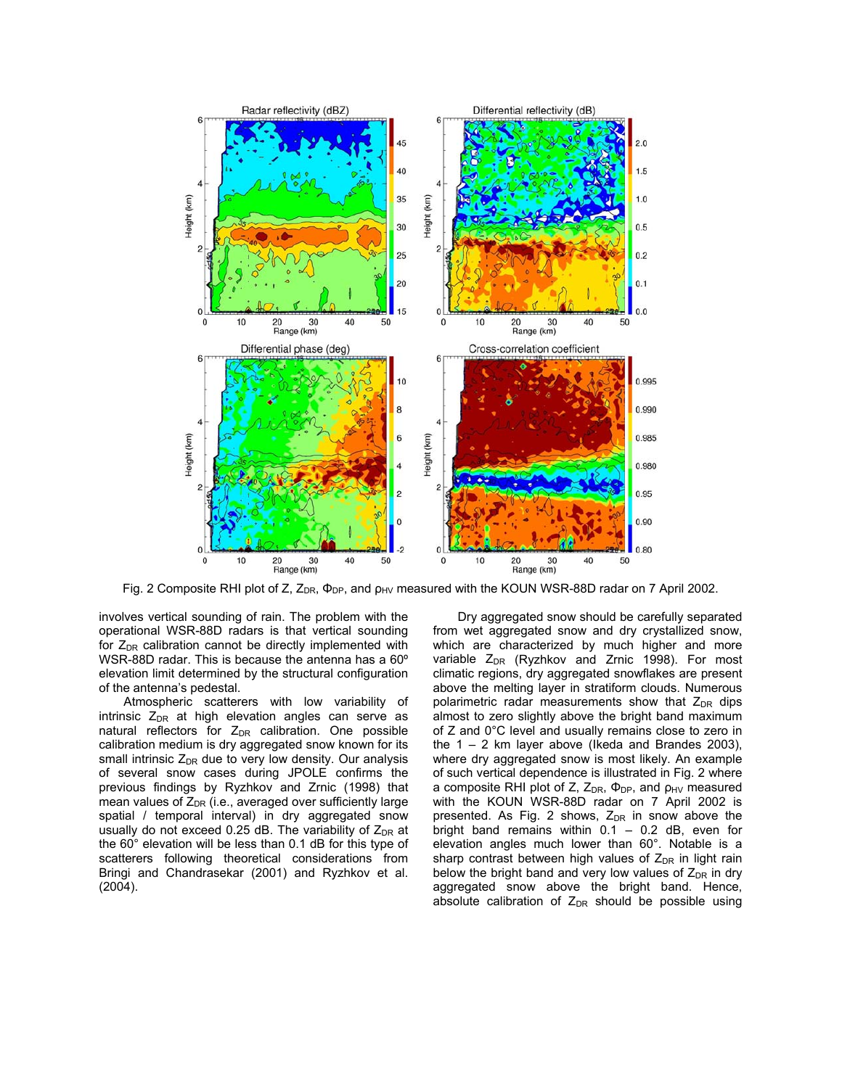

Fig. 2 Composite RHI plot of Z,  $Z_{DR}$ ,  $\Phi_{DP}$ , and  $\rho_{HV}$  measured with the KOUN WSR-88D radar on 7 April 2002.

involves vertical sounding of rain. The problem with the operational WSR-88D radars is that vertical sounding for  $Z_{DR}$  calibration cannot be directly implemented with WSR-88D radar. This is because the antenna has a 60º elevation limit determined by the structural configuration of the antenna's pedestal.

Atmospheric scatterers with low variability of intrinsic  $Z_{DR}$  at high elevation angles can serve as natural reflectors for  $Z_{DR}$  calibration. One possible calibration medium is dry aggregated snow known for its small intrinsic  $Z_{DR}$  due to very low density. Our analysis of several snow cases during JPOLE confirms the previous findings by Ryzhkov and Zrnic (1998) that mean values of  $Z_{DR}$  (i.e., averaged over sufficiently large spatial / temporal interval) in dry aggregated snow usually do not exceed 0.25 dB. The variability of  $Z_{DR}$  at the 60° elevation will be less than 0.1 dB for this type of scatterers following theoretical considerations from Bringi and Chandrasekar (2001) and Ryzhkov et al. (2004).

Dry aggregated snow should be carefully separated from wet aggregated snow and dry crystallized snow, which are characterized by much higher and more variable  $Z_{DR}$  (Ryzhkov and Zrnic 1998). For most climatic regions, dry aggregated snowflakes are present above the melting layer in stratiform clouds. Numerous polarimetric radar measurements show that  $Z_{DR}$  dips almost to zero slightly above the bright band maximum of Z and 0°C level and usually remains close to zero in the 1 – 2 km layer above (Ikeda and Brandes 2003), where dry aggregated snow is most likely. An example of such vertical dependence is illustrated in Fig. 2 where a composite RHI plot of Z,  $Z_{DR}$ ,  $\Phi_{DP}$ , and  $\rho_{HV}$  measured with the KOUN WSR-88D radar on 7 April 2002 is presented. As Fig. 2 shows,  $Z_{DR}$  in snow above the bright band remains within  $0.1 - 0.2$  dB, even for elevation angles much lower than 60°. Notable is a sharp contrast between high values of  $Z_{DR}$  in light rain below the bright band and very low values of  $Z_{DR}$  in dry aggregated snow above the bright band. Hence, absolute calibration of  $Z_{DR}$  should be possible using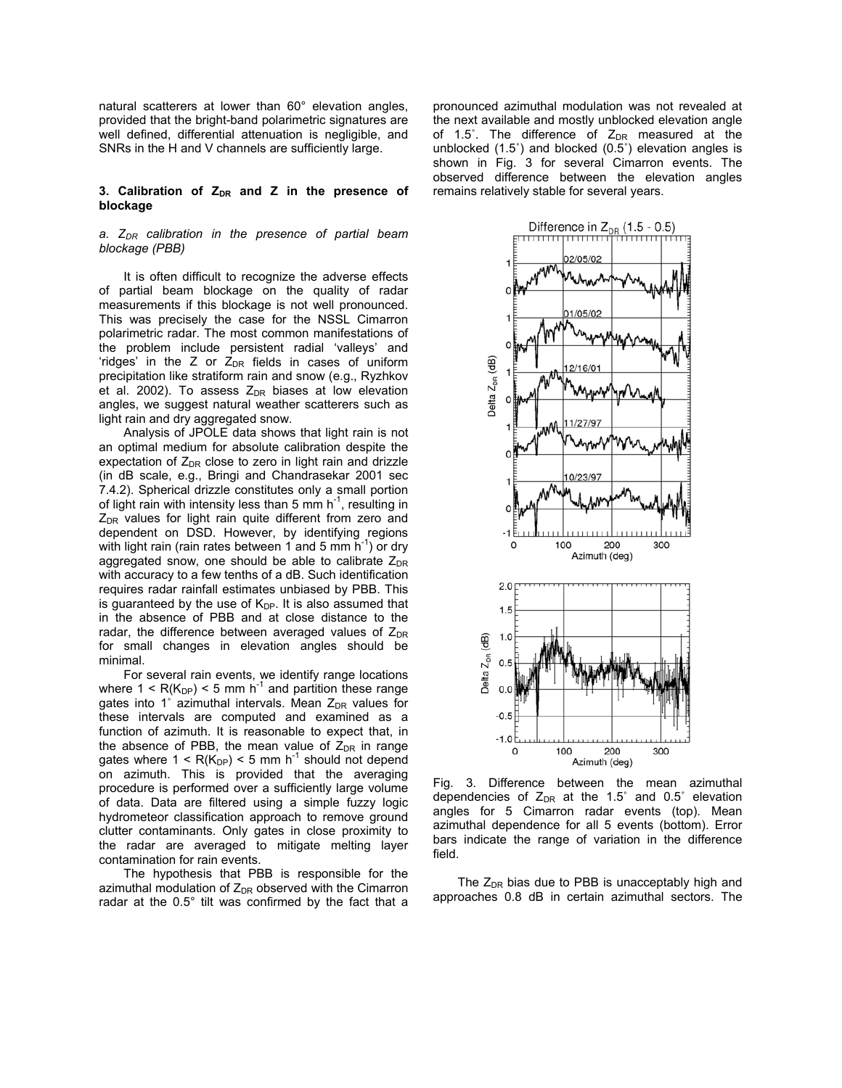natural scatterers at lower than 60° elevation angles, provided that the bright-band polarimetric signatures are well defined, differential attenuation is negligible, and SNRs in the H and V channels are sufficiently large.

### 3. Calibration of Z<sub>DR</sub> and Z in the presence of **blockage**

## *a. ZDR calibration in the presence of partial beam blockage (PBB)*

It is often difficult to recognize the adverse effects of partial beam blockage on the quality of radar measurements if this blockage is not well pronounced. This was precisely the case for the NSSL Cimarron polarimetric radar. The most common manifestations of the problem include persistent radial 'valleys' and 'ridges' in the Z or  $Z_{DR}$  fields in cases of uniform precipitation like stratiform rain and snow (e.g., Ryzhkov et al. 2002). To assess  $Z_{DR}$  biases at low elevation angles, we suggest natural weather scatterers such as light rain and dry aggregated snow.

Analysis of JPOLE data shows that light rain is not an optimal medium for absolute calibration despite the expectation of  $Z_{DR}$  close to zero in light rain and drizzle (in dB scale, e.g., Bringi and Chandrasekar 2001 sec 7.4.2). Spherical drizzle constitutes only a small portion of light rain with intensity less than 5 mm  $h^{-1}$ , resulting in  $Z<sub>DR</sub>$  values for light rain quite different from zero and dependent on DSD. However, by identifying regions with light rain (rain rates between 1 and 5 mm  $h^{-1}$ ) or dry aggregated snow, one should be able to calibrate  $Z_{DR}$ with accuracy to a few tenths of a dB. Such identification requires radar rainfall estimates unbiased by PBB. This is guaranteed by the use of  $K_{DP}$ . It is also assumed that in the absence of PBB and at close distance to the radar, the difference between averaged values of  $Z_{DR}$ for small changes in elevation angles should be minimal.

For several rain events, we identify range locations where  $1 < R(K_{DP}) < 5$  mm h<sup>-1</sup> and partition these range gates into 1° azimuthal intervals. Mean  $Z_{DR}$  values for these intervals are computed and examined as a function of azimuth. It is reasonable to expect that, in the absence of PBB, the mean value of  $Z_{DR}$  in range gates where  $1 < R(K_{DP}) < 5$  mm h<sup>-1</sup> should not depend on azimuth. This is provided that the averaging procedure is performed over a sufficiently large volume of data. Data are filtered using a simple fuzzy logic hydrometeor classification approach to remove ground clutter contaminants. Only gates in close proximity to the radar are averaged to mitigate melting layer contamination for rain events.

The hypothesis that PBB is responsible for the azimuthal modulation of  $Z_{DR}$  observed with the Cimarron radar at the 0.5° tilt was confirmed by the fact that a

pronounced azimuthal modulation was not revealed at the next available and mostly unblocked elevation angle of 1.5°. The difference of  $Z_{DR}$  measured at the unblocked (1.5˚) and blocked (0.5˚) elevation angles is shown in Fig. 3 for several Cimarron events. The observed difference between the elevation angles remains relatively stable for several years.



Fig. 3. Difference between the mean azimuthal dependencies of  $Z_{DR}$  at the 1.5° and 0.5° elevation angles for 5 Cimarron radar events (top). Mean azimuthal dependence for all 5 events (bottom). Error bars indicate the range of variation in the difference field.

The  $Z_{DR}$  bias due to PBB is unacceptably high and approaches 0.8 dB in certain azimuthal sectors. The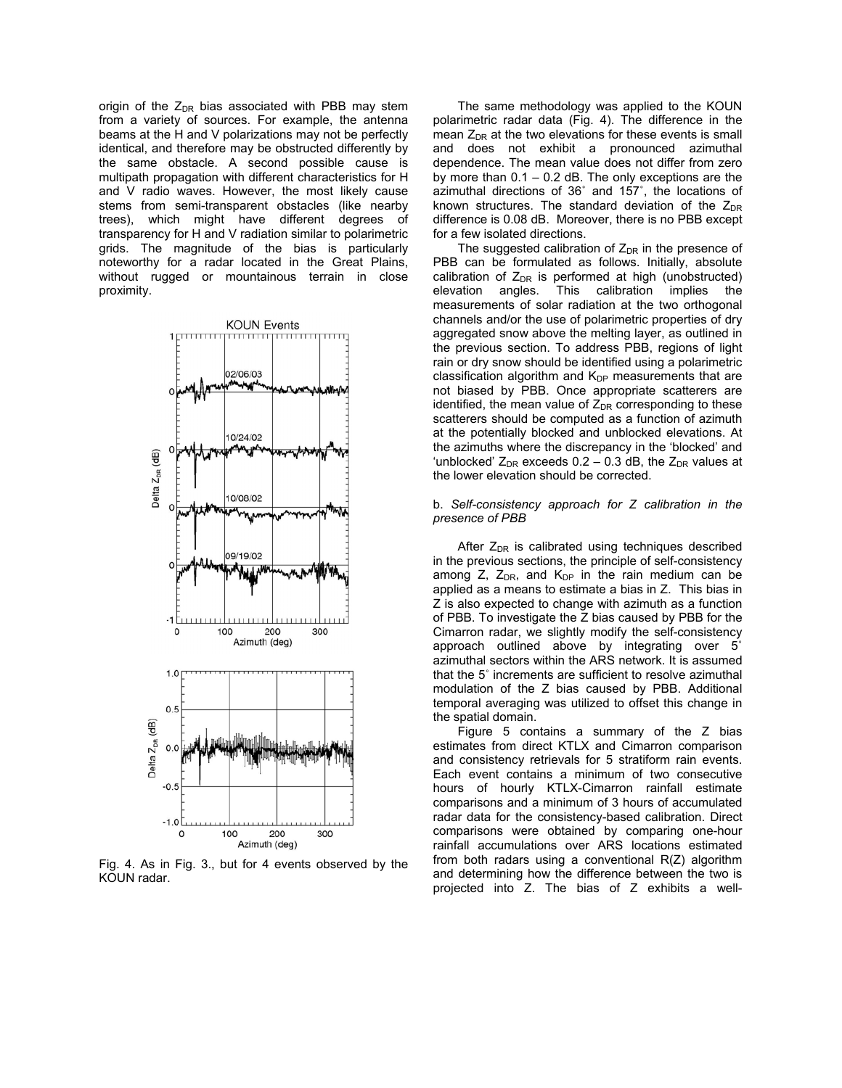origin of the  $Z_{DR}$  bias associated with PBB may stem from a variety of sources. For example, the antenna beams at the H and V polarizations may not be perfectly identical, and therefore may be obstructed differently by the same obstacle. A second possible cause is multipath propagation with different characteristics for H and V radio waves. However, the most likely cause stems from semi-transparent obstacles (like nearby trees), which might have different degrees of transparency for H and V radiation similar to polarimetric grids. The magnitude of the bias is particularly noteworthy for a radar located in the Great Plains, without rugged or mountainous terrain in close proximity.



Fig. 4. As in Fig. 3., but for 4 events observed by the KOUN radar.

The same methodology was applied to the KOUN polarimetric radar data (Fig. 4). The difference in the mean  $Z_{DR}$  at the two elevations for these events is small and does not exhibit a pronounced azimuthal dependence. The mean value does not differ from zero by more than  $0.1 - 0.2$  dB. The only exceptions are the azimuthal directions of 36˚ and 157˚, the locations of known structures. The standard deviation of the  $Z_{DR}$ difference is 0.08 dB. Moreover, there is no PBB except for a few isolated directions.

The suggested calibration of  $Z_{DR}$  in the presence of PBB can be formulated as follows. Initially, absolute calibration of  $Z_{DR}$  is performed at high (unobstructed) elevation angles. This calibration implies the measurements of solar radiation at the two orthogonal channels and/or the use of polarimetric properties of dry aggregated snow above the melting layer, as outlined in the previous section. To address PBB, regions of light rain or dry snow should be identified using a polarimetric classification algorithm and  $K_{DP}$  measurements that are not biased by PBB. Once appropriate scatterers are identified, the mean value of  $Z_{DR}$  corresponding to these scatterers should be computed as a function of azimuth at the potentially blocked and unblocked elevations. At the azimuths where the discrepancy in the 'blocked' and 'unblocked'  $Z_{DR}$  exceeds 0.2 – 0.3 dB, the  $Z_{DR}$  values at the lower elevation should be corrected.

#### b. *Self-consistency approach for Z calibration in the presence of PBB*

After  $Z_{DR}$  is calibrated using techniques described in the previous sections, the principle of self-consistency among Z,  $Z_{DR}$ , and  $K_{DP}$  in the rain medium can be applied as a means to estimate a bias in Z. This bias in Z is also expected to change with azimuth as a function of PBB. To investigate the Z bias caused by PBB for the Cimarron radar, we slightly modify the self-consistency approach outlined above by integrating over 5˚ azimuthal sectors within the ARS network. It is assumed that the 5˚ increments are sufficient to resolve azimuthal modulation of the Z bias caused by PBB. Additional temporal averaging was utilized to offset this change in the spatial domain.

Figure 5 contains a summary of the Z bias estimates from direct KTLX and Cimarron comparison and consistency retrievals for 5 stratiform rain events. Each event contains a minimum of two consecutive hours of hourly KTLX-Cimarron rainfall estimate comparisons and a minimum of 3 hours of accumulated radar data for the consistency-based calibration. Direct comparisons were obtained by comparing one-hour rainfall accumulations over ARS locations estimated from both radars using a conventional R(Z) algorithm and determining how the difference between the two is projected into Z. The bias of Z exhibits a well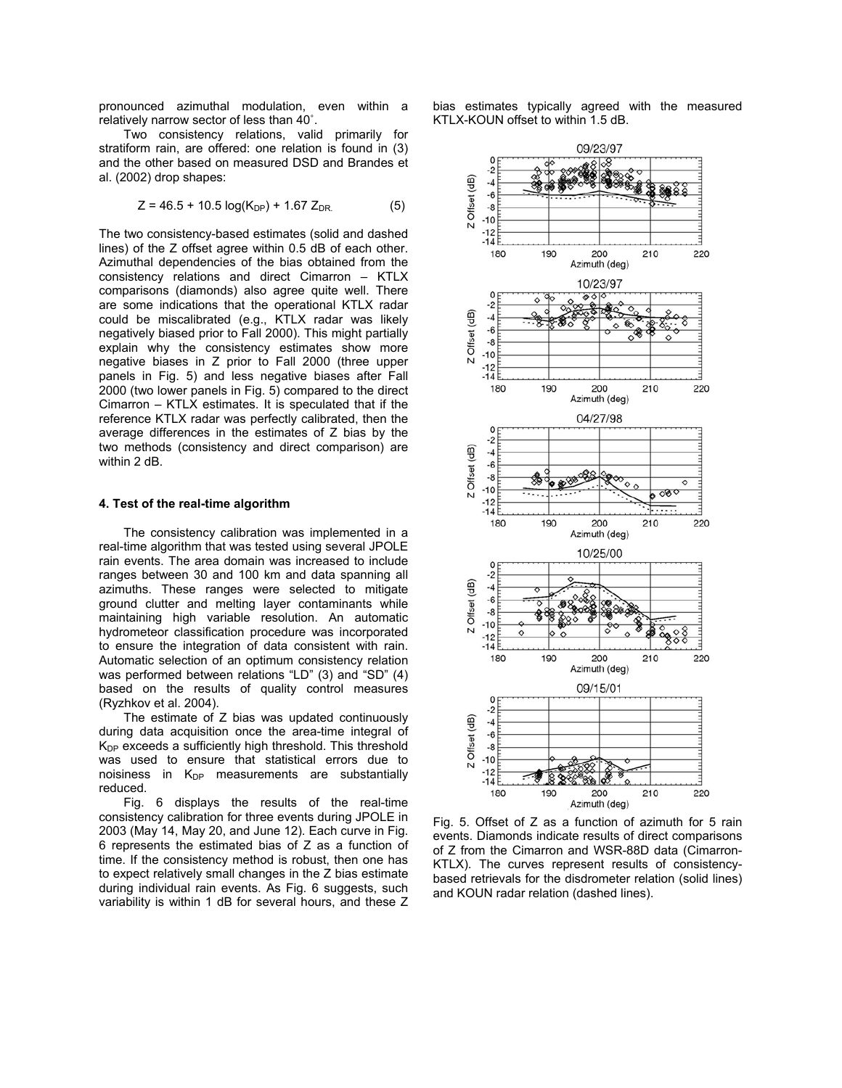pronounced azimuthal modulation, even within a relatively narrow sector of less than 40˚.

Two consistency relations, valid primarily for stratiform rain, are offered: one relation is found in (3) and the other based on measured DSD and Brandes et al. (2002) drop shapes:

$$
Z = 46.5 + 10.5 \log(K_{DP}) + 1.67 Z_{DR} \tag{5}
$$

The two consistency-based estimates (solid and dashed lines) of the Z offset agree within 0.5 dB of each other. Azimuthal dependencies of the bias obtained from the consistency relations and direct Cimarron – KTLX comparisons (diamonds) also agree quite well. There are some indications that the operational KTLX radar could be miscalibrated (e.g., KTLX radar was likely negatively biased prior to Fall 2000). This might partially explain why the consistency estimates show more negative biases in Z prior to Fall 2000 (three upper panels in Fig. 5) and less negative biases after Fall 2000 (two lower panels in Fig. 5) compared to the direct Cimarron – KTLX estimates. It is speculated that if the reference KTLX radar was perfectly calibrated, then the average differences in the estimates of Z bias by the two methods (consistency and direct comparison) are within 2 dB.

#### **4. Test of the real-time algorithm**

The consistency calibration was implemented in a real-time algorithm that was tested using several JPOLE rain events. The area domain was increased to include ranges between 30 and 100 km and data spanning all azimuths. These ranges were selected to mitigate ground clutter and melting layer contaminants while maintaining high variable resolution. An automatic hydrometeor classification procedure was incorporated to ensure the integration of data consistent with rain. Automatic selection of an optimum consistency relation was performed between relations "LD" (3) and "SD" (4) based on the results of quality control measures (Ryzhkov et al. 2004).

The estimate of  $Z$  bias was updated continuously during data acquisition once the area-time integral of  $K_{DP}$  exceeds a sufficiently high threshold. This threshold was used to ensure that statistical errors due to noisiness in  $K_{DP}$  measurements are substantially reduced.

Fig. 6 displays the results of the real-time consistency calibration for three events during JPOLE in 2003 (May 14, May 20, and June 12). Each curve in Fig. 6 represents the estimated bias of Z as a function of time. If the consistency method is robust, then one has to expect relatively small changes in the Z bias estimate during individual rain events. As Fig. 6 suggests, such variability is within 1 dB for several hours, and these Z

bias estimates typically agreed with the measured KTLX-KOUN offset to within 1.5 dB.



Fig. 5. Offset of Z as a function of azimuth for 5 rain events. Diamonds indicate results of direct comparisons of Z from the Cimarron and WSR-88D data (Cimarron-KTLX). The curves represent results of consistencybased retrievals for the disdrometer relation (solid lines) and KOUN radar relation (dashed lines).